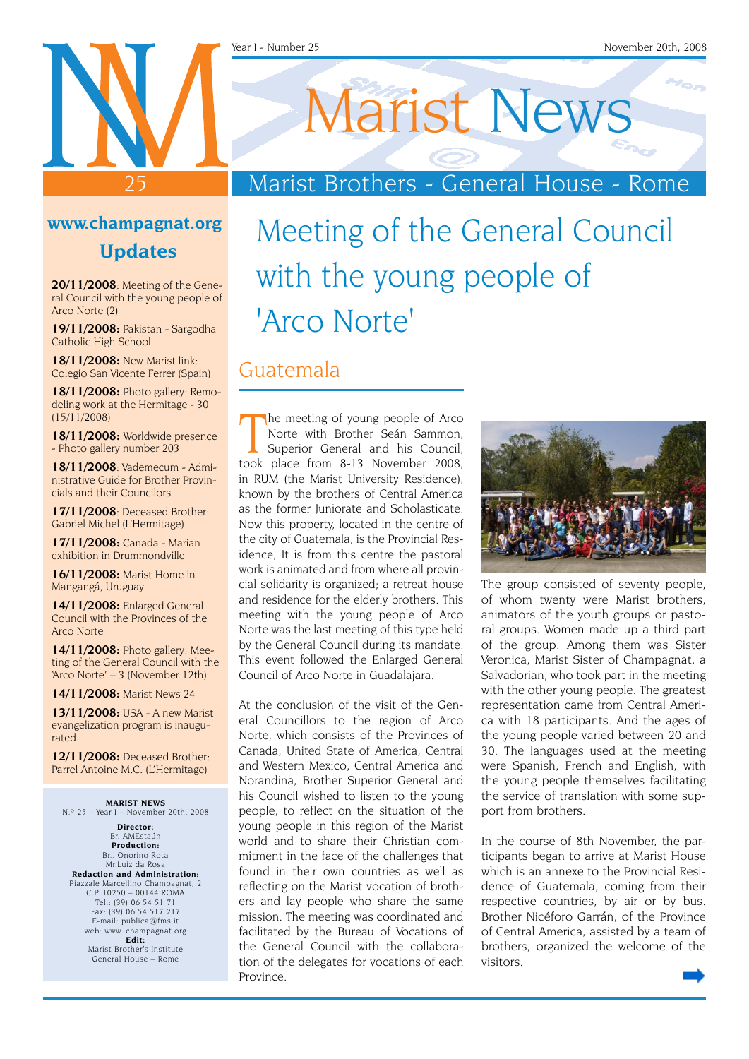# Marist News

Marist Brothers - General House - Rome

### **www.champagnat.org**

25

**Updates**

**20/11/2008**: Meeting of the General Council with the young people of Arco Norte (2)

**19/11/2008:** Pakistan - Sargodha Catholic High School

**18/11/2008:** New Marist link: Colegio San Vicente Ferrer (Spain)

**18/11/2008:** Photo gallery: Remodeling work at the Hermitage - 30 (15/11/2008)

**18/11/2008:** Worldwide presence - Photo gallery number 203

**18/11/2008**: Vademecum - Administrative Guide for Brother Provincials and their Councilors

**17/11/2008**: Deceased Brother: Gabriel Michel (L'Hermitage)

**17/11/2008:** Canada - Marian exhibition in Drummondville

**16/11/2008:** Marist Home in Mangangá, Uruguay

**14/11/2008:** Enlarged General Council with the Provinces of the Arco Norte

**14/11/2008:** Photo gallery: Meeting of the General Council with the 'Arco Norte' – 3 (November 12th)

**14/11/2008:** Marist News 24

**13/11/2008:** USA - A new Marist evangelization program is inaugurated

**12/11/2008:** Deceased Brother: Parrel Antoine M.C. (L'Hermitage)

**MARIST NEWS** N.º 25 – Year I – November 20th, 2008

**Director:** Br. AMEstaún **Production:** Br.. Onorino Rota Mr.Luiz da Rosa **Redaction and Administration:** Piazzale Marcellino Champagnat, 2 C.P. 10250 – 00144 ROMA Tel.: (39) 06 54 51 71 Fax: (39) 06 54 517 217 E-mail: publica@fms.it web: www. champagnat.org **Edit:** Marist Brother's Institute General House – Rome

### Meeting of the General Council with the young people of 'Arco Norte'

#### Guatemala

The meeting of young people of Arco<br>
Norte with Brother Seán Sammon,<br>
Superior General and his Council,<br>
took place from 8-13 November 2008, he meeting of young people of Arco Norte with Brother Seán Sammon, Superior General and his Council, in RUM (the Marist University Residence), known by the brothers of Central America as the former Juniorate and Scholasticate. Now this property, located in the centre of the city of Guatemala, is the Provincial Residence, It is from this centre the pastoral work is animated and from where all provincial solidarity is organized; a retreat house and residence for the elderly brothers. This meeting with the young people of Arco Norte was the last meeting of this type held by the General Council during its mandate. This event followed the Enlarged General Council of Arco Norte in Guadalajara.

At the conclusion of the visit of the General Councillors to the region of Arco Norte, which consists of the Provinces of Canada, United State of America, Central and Western Mexico, Central America and Norandina, Brother Superior General and his Council wished to listen to the young people, to reflect on the situation of the young people in this region of the Marist world and to share their Christian commitment in the face of the challenges that found in their own countries as well as reflecting on the Marist vocation of brothers and lay people who share the same mission. The meeting was coordinated and facilitated by the Bureau of Vocations of the General Council with the collaboration of the delegates for vocations of each Province.



The group consisted of seventy people, of whom twenty were Marist brothers, animators of the youth groups or pastoral groups. Women made up a third part of the group. Among them was Sister Veronica, Marist Sister of Champagnat, a Salvadorian, who took part in the meeting with the other young people. The greatest representation came from Central America with 18 participants. And the ages of the young people varied between 20 and 30. The languages used at the meeting were Spanish, French and English, with the young people themselves facilitating the service of translation with some support from brothers.

In the course of 8th November, the participants began to arrive at Marist House which is an annexe to the Provincial Residence of Guatemala, coming from their respective countries, by air or by bus. Brother Nicéforo Garrán, of the Province of Central America, assisted by a team of brothers, organized the welcome of the visitors.

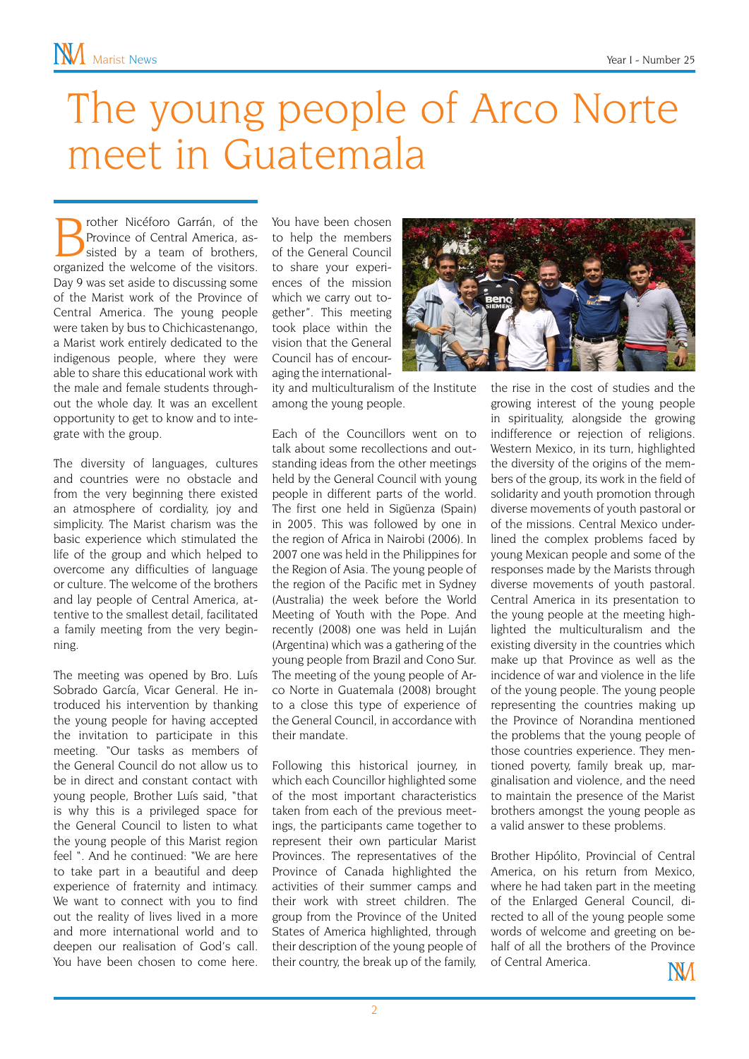## The young people of Arco Norte meet in Guatemala

**Brother Nicéforo Garrán, of the Province of Central America, assisted by a team of brothers, cross-**Province of Central America, asorganized the welcome of the visitors. Day 9 was set aside to discussing some of the Marist work of the Province of Central America. The young people were taken by bus to Chichicastenango, a Marist work entirely dedicated to the indigenous people, where they were able to share this educational work with the male and female students throughout the whole day. It was an excellent opportunity to get to know and to integrate with the group.

The diversity of languages, cultures and countries were no obstacle and from the very beginning there existed an atmosphere of cordiality, joy and simplicity. The Marist charism was the basic experience which stimulated the life of the group and which helped to overcome any difficulties of language or culture. The welcome of the brothers and lay people of Central America, attentive to the smallest detail, facilitated a family meeting from the very beginning.

The meeting was opened by Bro. Luís Sobrado García, Vicar General. He introduced his intervention by thanking the young people for having accepted the invitation to participate in this meeting. "Our tasks as members of the General Council do not allow us to be in direct and constant contact with young people, Brother Luís said, "that is why this is a privileged space for the General Council to listen to what the young people of this Marist region feel ". And he continued: "We are here to take part in a beautiful and deep experience of fraternity and intimacy. We want to connect with you to find out the reality of lives lived in a more and more international world and to deepen our realisation of God's call. You have been chosen to come here. You have been chosen to help the members of the General Council to share your experiences of the mission which we carry out together". This meeting took place within the vision that the General Council has of encouraging the international-

ity and multiculturalism of the Institute among the young people.

Each of the Councillors went on to talk about some recollections and outstanding ideas from the other meetings held by the General Council with young people in different parts of the world. The first one held in Sigüenza (Spain) in 2005. This was followed by one in the region of Africa in Nairobi (2006). In 2007 one was held in the Philippines for the Region of Asia. The young people of the region of the Pacific met in Sydney (Australia) the week before the World Meeting of Youth with the Pope. And recently (2008) one was held in Luján (Argentina) which was a gathering of the young people from Brazil and Cono Sur. The meeting of the young people of Arco Norte in Guatemala (2008) brought to a close this type of experience of the General Council, in accordance with their mandate.

Following this historical journey, in which each Councillor highlighted some of the most important characteristics taken from each of the previous meetings, the participants came together to represent their own particular Marist Provinces. The representatives of the Province of Canada highlighted the activities of their summer camps and their work with street children. The group from the Province of the United States of America highlighted, through their description of the young people of their country, the break up of the family,



Brother Hipólito, Provincial of Central America, on his return from Mexico, where he had taken part in the meeting of the Enlarged General Council, directed to all of the young people some words of welcome and greeting on behalf of all the brothers of the Province of Central America.IЖЛ

2

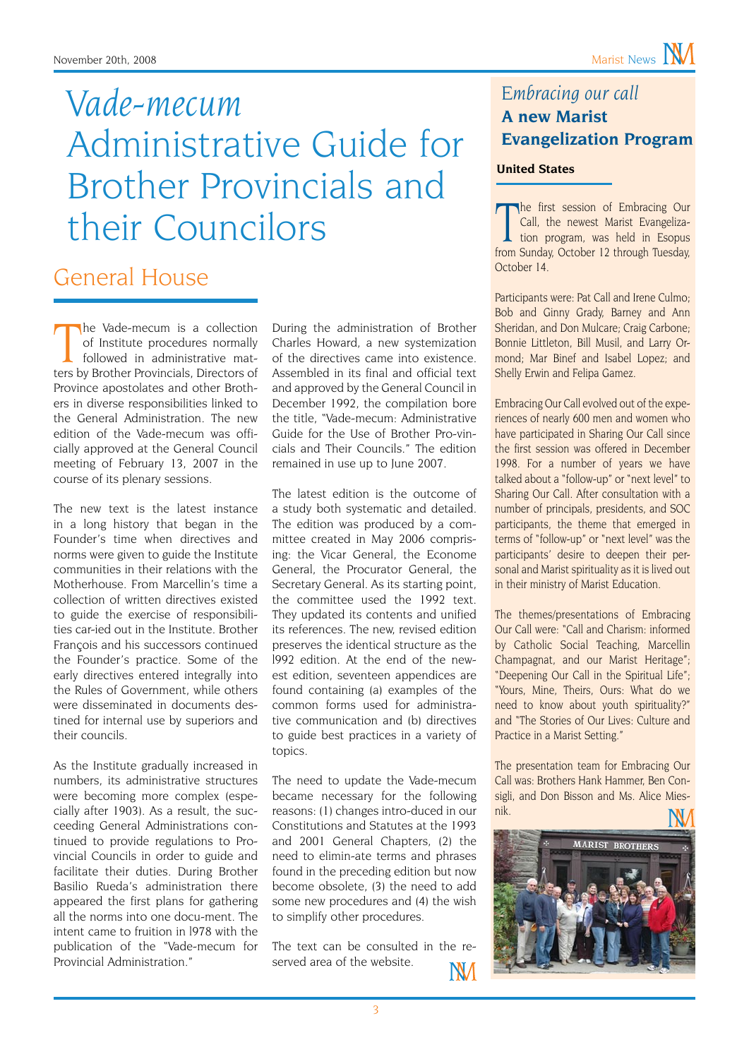### November 20th, 2008 Marist News **NV**

### *Vade-mecum* Administrative Guide for Brother Provincials and their Councilors

### General House

The Vade-mecum is a collection<br>of Institute procedures normally<br>followed in administrative mat-<br>ters by Brother Provincials, Directors of he Vade-mecum is a collection of Institute procedures normally followed in administrative mat-Province apostolates and other Brothers in diverse responsibilities linked to the General Administration. The new edition of the Vade-mecum was officially approved at the General Council meeting of February 13, 2007 in the course of its plenary sessions.

The new text is the latest instance in a long history that began in the Founder's time when directives and norms were given to guide the Institute communities in their relations with the Motherhouse. From Marcellin's time a collection of written directives existed to guide the exercise of responsibilities car-ied out in the Institute. Brother François and his successors continued the Founder's practice. Some of the early directives entered integrally into the Rules of Government, while others were disseminated in documents destined for internal use by superiors and their councils.

As the Institute gradually increased in numbers, its administrative structures were becoming more complex (especially after 1903). As a result, the succeeding General Administrations continued to provide regulations to Provincial Councils in order to guide and facilitate their duties. During Brother Basilio Rueda's administration there appeared the first plans for gathering all the norms into one docu-ment. The intent came to fruition in l978 with the publication of the "Vade-mecum for Provincial Administration."

During the administration of Brother Charles Howard, a new systemization of the directives came into existence. Assembled in its final and official text and approved by the General Council in December 1992, the compilation bore the title, "Vade-mecum: Administrative Guide for the Use of Brother Pro-vincials and Their Councils." The edition remained in use up to June 2007.

The latest edition is the outcome of a study both systematic and detailed. The edition was produced by a committee created in May 2006 comprising: the Vicar General, the Econome General, the Procurator General, the Secretary General. As its starting point, the committee used the 1992 text. They updated its contents and unified its references. The new, revised edition preserves the identical structure as the l992 edition. At the end of the newest edition, seventeen appendices are found containing (a) examples of the common forms used for administrative communication and (b) directives to guide best practices in a variety of topics.

The need to update the Vade-mecum became necessary for the following reasons: (1) changes intro-duced in our Constitutions and Statutes at the 1993 and 2001 General Chapters, (2) the need to elimin-ate terms and phrases found in the preceding edition but now become obsolete, (3) the need to add some new procedures and (4) the wish to simplify other procedures.

The text can be consulted in the reserved area of the website.**NV**  *Embracing our call* **A new Marist Evangelization Program**

#### **United States**

The first session of Embracing Our<br>
Call, the newest Marist Evangeliza-<br>
tion program, was held in Esopus<br>
from Sunday, October 12 through Tuesday, he first session of Embracing Our Call, the newest Marist Evangelization program, was held in Esopus October 14.

Participants were: Pat Call and Irene Culmo; Bob and Ginny Grady, Barney and Ann Sheridan, and Don Mulcare; Craig Carbone; Bonnie Littleton, Bill Musil, and Larry Ormond; Mar Binef and Isabel Lopez; and Shelly Erwin and Felipa Gamez.

Embracing Our Call evolved out of the experiences of nearly 600 men and women who have participated in Sharing Our Call since the first session was offered in December 1998. For a number of years we have talked about a "follow-up" or "next level" to Sharing Our Call. After consultation with a number of principals, presidents, and SOC participants, the theme that emerged in terms of "follow-up" or "next level" was the participants' desire to deepen their personal and Marist spirituality as it is lived out in their ministry of Marist Education.

The themes/presentations of Embracing Our Call were: "Call and Charism: informed by Catholic Social Teaching, Marcellin Champagnat, and our Marist Heritage"; "Deepening Our Call in the Spiritual Life"; "Yours, Mine, Theirs, Ours: What do we need to know about youth spirituality?" and "The Stories of Our Lives: Culture and Practice in a Marist Setting."

The presentation team for Embracing Our Call was: Brothers Hank Hammer, Ben Consigli, and Don Bisson and Ms. Alice Miesnik.